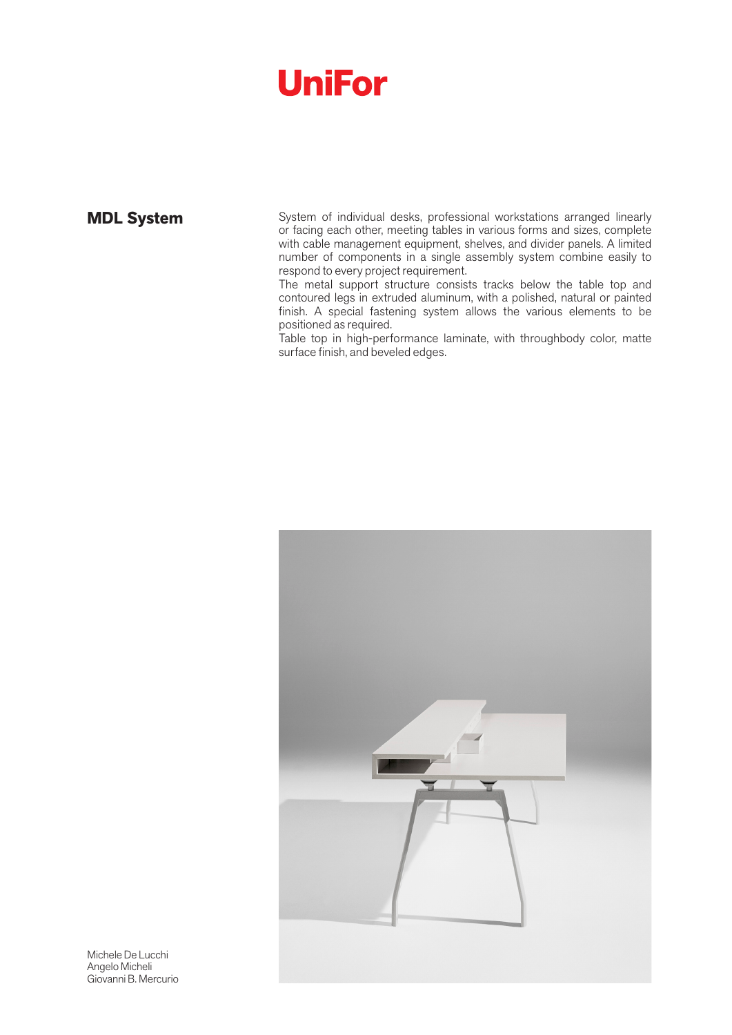**MDL System** System of individual desks, professional workstations arranged linearly or facing each other, meeting tables in various forms and sizes, complete with cable management equipment, shelves, and divider panels. A limited number of components in a single assembly system combine easily to respond to every project requirement.

The metal support structure consists tracks below the table top and contoured legs in extruded aluminum, with a polished, natural or painted finish. A special fastening system allows the various elements to be positioned as required.

Table top in high-performance laminate, with throughbody color, matte surface finish, and beveled edges.



Michele De Lucchi Angelo Micheli Giovanni B. Mercurio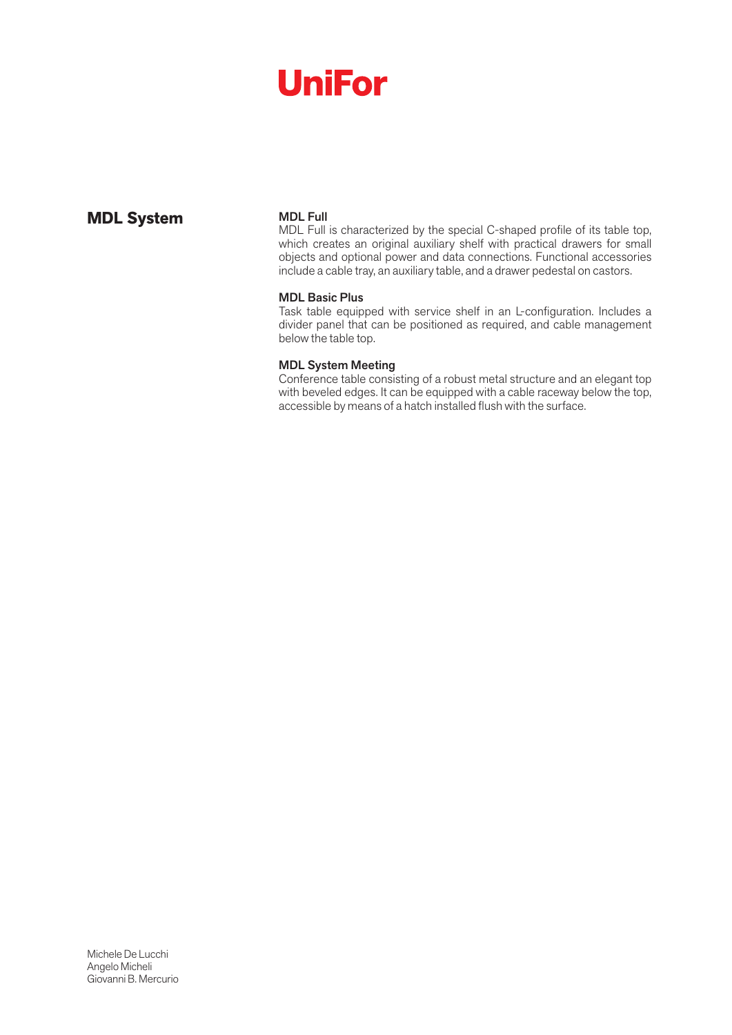### **MDL System** MDL Full

MDL Full is characterized by the special C-shaped profile of its table top, which creates an original auxiliary shelf with practical drawers for small objects and optional power and data connections. Functional accessories include a cable tray, an auxiliary table, and a drawer pedestal on castors.

#### MDL Basic Plus

Task table equipped with service shelf in an L-configuration. Includes a divider panel that can be positioned as required, and cable management below the table top.

#### MDL System Meeting

Conference table consisting of a robust metal structure and an elegant top with beveled edges. It can be equipped with a cable raceway below the top, accessible by means of a hatch installed flush with the surface.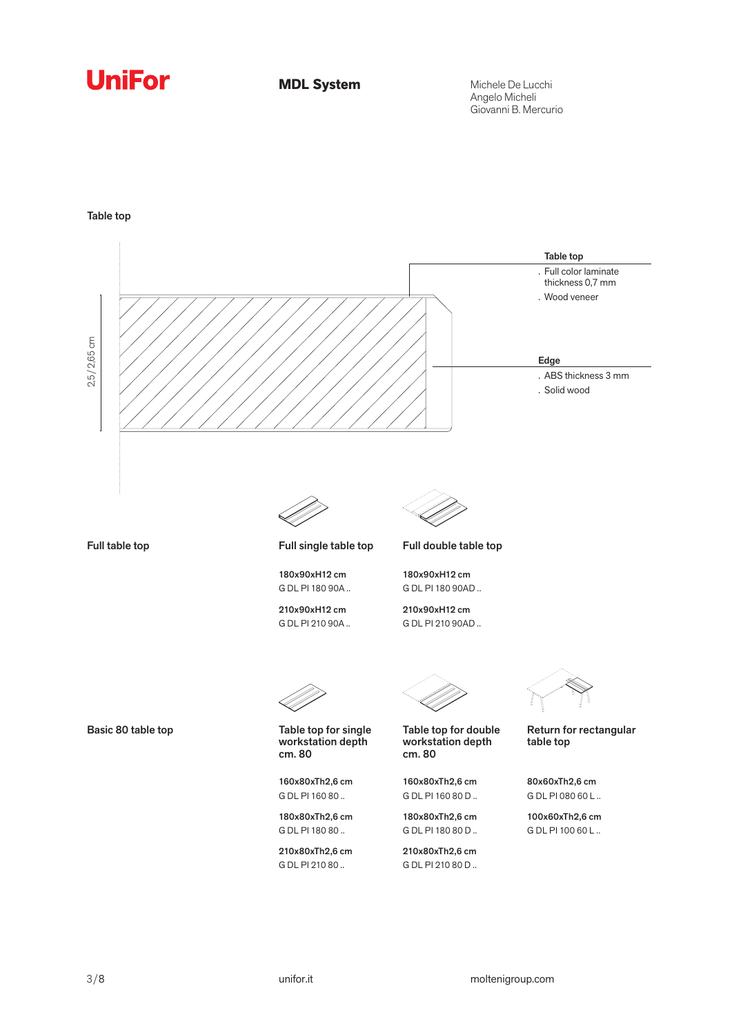**MDL System**

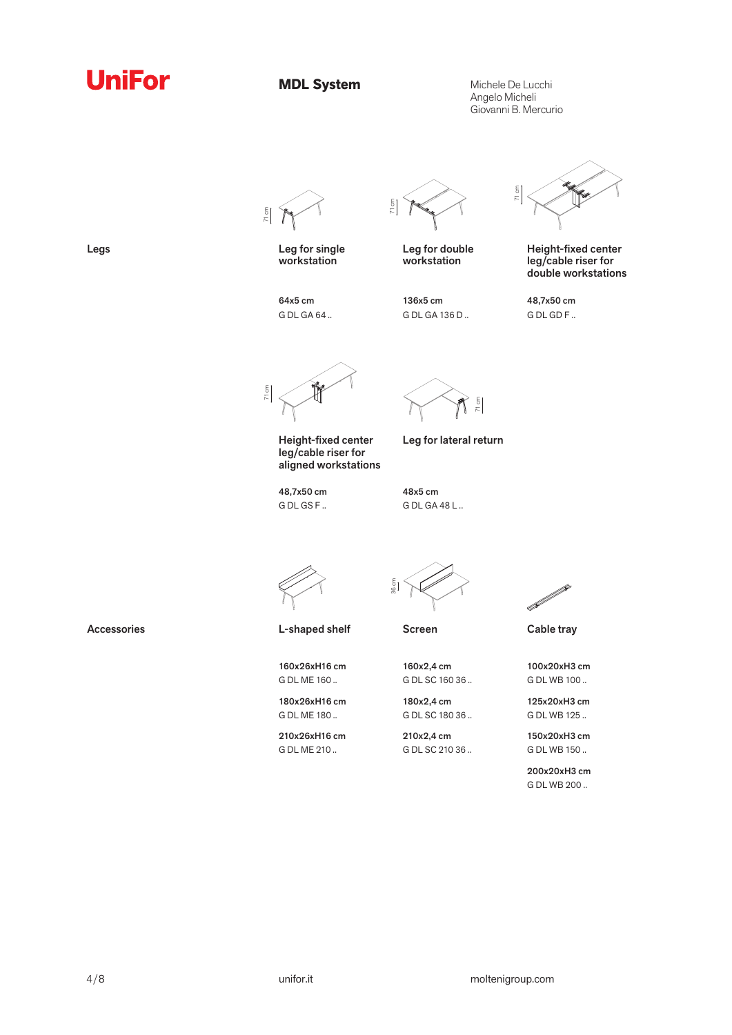

**MDL System**

Michele De Lucchi Angelo Micheli Giovanni B. Mercurio



Legs Leg for single workstation

> 64x5 cm G DL GA 64 ..

71 cm

Leg for double workstation

136x5 cm G DL GA 136 D ..



Height-fixed center leg/cable riser for double workstations

48,7x50 cm G DL GD F ..

71 cm

Height-fixed center leg/cable riser for aligned workstations

48,7x50 cm G DL GS F ..



Leg for lateral return

48x5 cm G DL GA 48 L ..



Accessories **Accessories** L-shaped shelf Screen Cable tray

160x26xH16 cm G DL ME 160 .. 180x26xH16 cm G DL ME 180 .. 210x26xH16 cm G DL ME 210 ..

 $\frac{5}{90}$ 

160x2,4 cm G DL SC 160 36 ..

180x2,4 cm G DL SC 180 36 ..

210x2,4 cm G DL SC 210 36 ..



100x20xH3 cm G DL WB 100 ..

125x20xH3 cm G DL WB 125 ..

150x20xH3 cm G DL WB 150 ..

200x20xH3 cm G DL WB 200 ..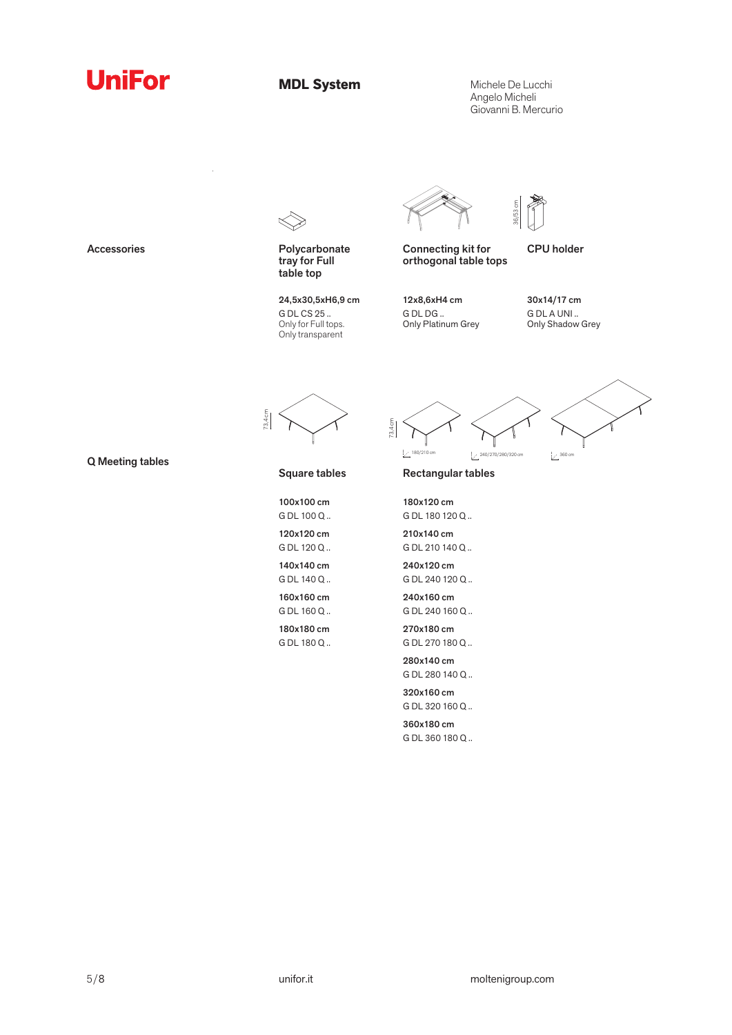**MDL System**

Michele De Lucchi Angelo Micheli Giovanni B. Mercurio

36/53 cm



Accessories **Polycarbonate** tray for Full table top

> 24,5x30,5xH6,9 cm G DL CS 25 .. Only for Full tops. Only transparent



Connecting kit for orthogonal table tops

G DL DG ..

CPU holder

12x8,6xH4 cm Only Platinum Grey



73,4 cm

 $\frac{1}{2}$  360 cm 73,4 cm

Q Meeting tables

#### Square tables

100x100 cm

G DL 100 Q .. 120x120 cm

G DL 120 Q .. 140x140 cm G DL 140 Q ..

160x160 cm G DL 160 Q ..

180x180 cm G DL 180 Q .. Rectangular tables

180x120 cm G DL 180 120 Q ..

210x140 cm G DL 210 140 Q ..

240x120 cm G DL 240 120 Q ..

240x160 cm G DL 240 160 Q ..

270x180 cm G DL 270 180 Q ..

280x140 cm G DL 280 140 Q ..

320x160 cm G DL 320 160 Q ..

360x180 cm G DL 360 180 Q ..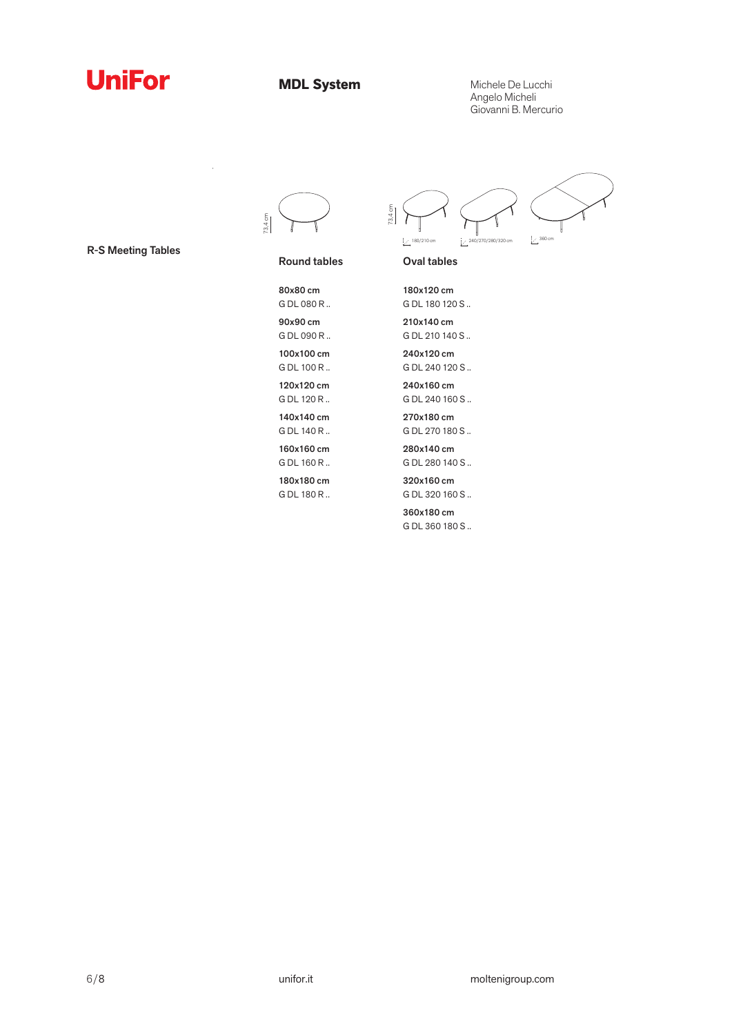

**MDL System**

Michele De Lucchi Angelo Micheli Giovanni B. Mercurio



R-S Meeting Tables

Round tables



G DL 180 R ..

G DL 180 120 S .. 210x140 cm G DL 210 140 S .. 240x120 cm

73,4 cm

G DL 240 120 S ..

Oval tables

 $1/210$  cm  $2/30/210$  cm

180x120 cm

240x160 cm G DL 240 160 S ..

270x180 cm G DL 270 180 S ..

280x140 cm G DL 280 140 S ..

320x160 cm G DL 320 160 S ..

360x180 cm G DL 360 180 S ..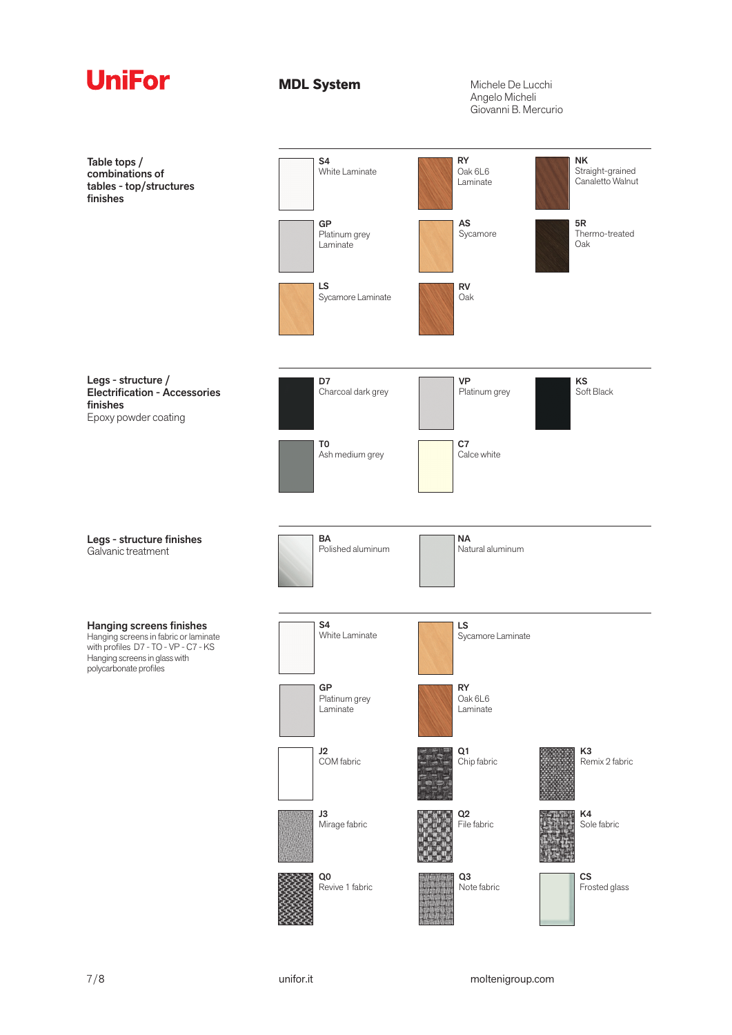| <b>UniFor</b>                                                                                                                                                               | <b>MDL System</b>                | Michele De Lucchi<br>Angelo Micheli<br>Giovanni B. Mercurio                           |
|-----------------------------------------------------------------------------------------------------------------------------------------------------------------------------|----------------------------------|---------------------------------------------------------------------------------------|
| Table tops /<br>combinations of<br>tables - top/structures<br>finishes                                                                                                      | S <sub>4</sub><br>White Laminate | <b>RY</b><br><b>NK</b><br>Oak 6L6<br>Straight-grained<br>Canaletto Walnut<br>Laminate |
|                                                                                                                                                                             | GP<br>Platinum grey<br>Laminate  | AS<br>5R<br>Thermo-treated<br>Sycamore<br>Oak                                         |
|                                                                                                                                                                             | LS<br>Sycamore Laminate          | ${\sf RV}$<br>Oak                                                                     |
| Legs - structure /<br>Electrification - Accessories<br>finishes<br>Epoxy powder coating                                                                                     | D7<br>Charcoal dark grey         | <b>VP</b><br>KS<br>Soft Black<br>Platinum grey                                        |
|                                                                                                                                                                             | T0<br>Ash medium grey            | C7<br>Calce white                                                                     |
| Legs - structure finishes<br>Galvanic treatment                                                                                                                             | BA<br>Polished aluminum          | <b>NA</b><br>Natural aluminum                                                         |
| <b>Hanging screens finishes</b><br>Hanging screens in fabric or laminate<br>with profiles D7 - TO - VP - C7 - KS<br>Hanging screens in glass with<br>polycarbonate profiles | S <sub>4</sub><br>White Laminate | LS<br>Sycamore Laminate                                                               |
|                                                                                                                                                                             | GP<br>Platinum grey<br>Laminate  | <b>RY</b><br>Oak 6L6<br>Laminate                                                      |
|                                                                                                                                                                             | J2<br>COM fabric<br>J3           | Q1<br>K <sub>3</sub><br>Chip fabric<br>Remix 2 fabric<br>$\mathsf{Q}2$<br>K4          |
|                                                                                                                                                                             | Mirage fabric<br>Q0              | File fabric<br>Sole fabric<br>Q3<br>$\mathsf{CS}\phantom{0}$                          |
|                                                                                                                                                                             | Revive 1 fabric                  | Frosted glass<br>Note fabric                                                          |